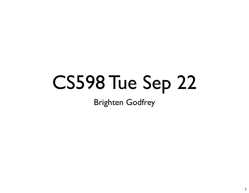#### CS598 Tue Sep 22

Brighten Godfrey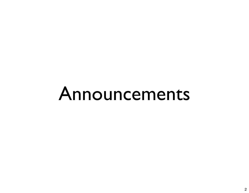#### Announcements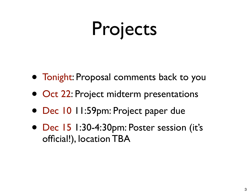#### Projects

- Tonight: Proposal comments back to you
- Oct 22: Project midterm presentations
- Dec 10 11:59pm: Project paper due
- Dec 15 1:30-4:30pm: Poster session (it's official!), location TBA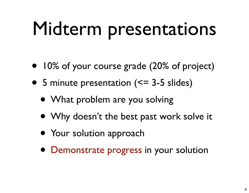### Midterm presentations

- 10% of your course grade (20% of project)
- 5 minute presentation (<= 3-5 slides)
	- What problem are you solving
	- Why doesn't the best past work solve it
	- Your solution approach
	- Demonstrate progress in your solution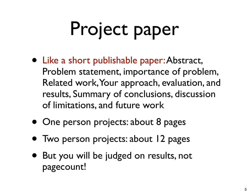### Project paper

- Like a short publishable paper: Abstract, Problem statement, importance of problem, Related work, Your approach, evaluation, and results, Summary of conclusions, discussion of limitations, and future work
- One person projects: about 8 pages
- Two person projects: about 12 pages
- But you will be judged on results, not pagecount!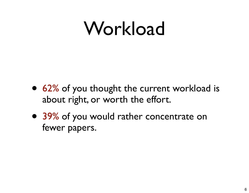#### Workload

- 62% of you thought the current workload is about right, or worth the effort.
- 39% of you would rather concentrate on fewer papers.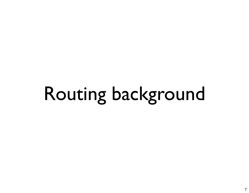### Routing background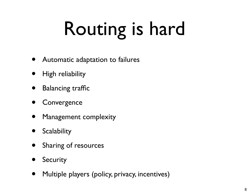## Routing is hard

- Automatic adaptation to failures
- High reliability
- **Balancing traffic**
- **Convergence**
- Management complexity
- **Scalability**
- Sharing of resources
- **Security**
- Multiple players (policy, privacy, incentives)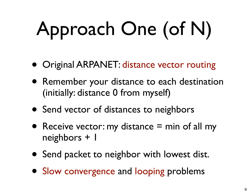# Approach One (of N)

- Original ARPANET: distance vector routing
- Remember your distance to each destination (initially: distance 0 from myself)
- Send vector of distances to neighbors
- Receive vector: my distance  $=$  min of all my neighbors + 1
- Send packet to neighbor with lowest dist.
- Slow convergence and looping problems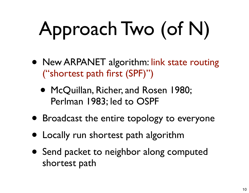## Approach Two (of N)

- New ARPANET algorithm: link state routing ("shortest path first (SPF)")
	- McQuillan, Richer, and Rosen 1980; Perlman 1983; led to OSPF
- Broadcast the entire topology to everyone
- Locally run shortest path algorithm
- Send packet to neighbor along computed shortest path